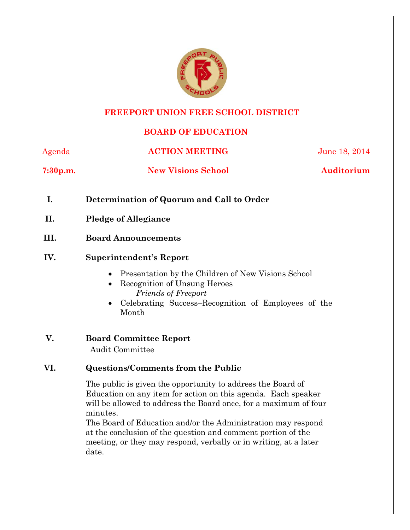

#### **FREEPORT UNION FREE SCHOOL DISTRICT**

# **BOARD OF EDUCATION**

Agenda **ACTION MEETING** June 18, 2014

**7:30p.m. New Visions School Auditorium**

- **I. Determination of Quorum and Call to Order**
- **II. Pledge of Allegiance**
- **III. Board Announcements**

#### **IV. Superintendent's Report**

- Presentation by the Children of New Visions School
- Recognition of Unsung Heroes *Friends of Freeport*
- Celebrating Success–Recognition of Employees of the Month
- **V. Board Committee Report** Audit Committee

## **VI. Questions/Comments from the Public**

The public is given the opportunity to address the Board of Education on any item for action on this agenda. Each speaker will be allowed to address the Board once, for a maximum of four minutes.

The Board of Education and/or the Administration may respond at the conclusion of the question and comment portion of the meeting, or they may respond, verbally or in writing, at a later date.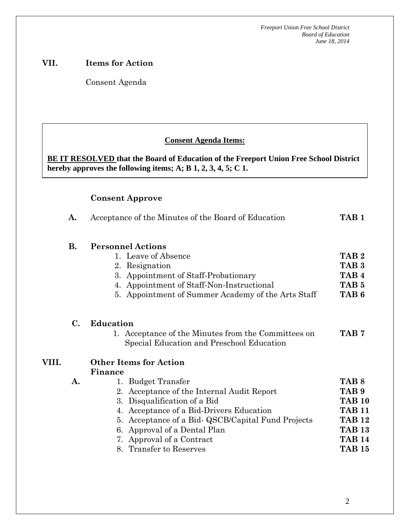#### **VII. Items for Action**

Consent Agenda

#### **Consent Agenda Items:**

**BE IT RESOLVED that the Board of Education of the Freeport Union Free School District hereby approves the following items; A; B 1, 2, 3, 4, 5; C 1.**

#### **Consent Approve**

|       | Acceptance of the Minutes of the Board of Education<br>A. |                                                                                                                                                                                                                                                                                                                                           | TAB 1                                                                                                                                      |
|-------|-----------------------------------------------------------|-------------------------------------------------------------------------------------------------------------------------------------------------------------------------------------------------------------------------------------------------------------------------------------------------------------------------------------------|--------------------------------------------------------------------------------------------------------------------------------------------|
|       | <b>B.</b>                                                 | <b>Personnel Actions</b><br>1. Leave of Absence<br>2. Resignation<br>3. Appointment of Staff-Probationary<br>4. Appointment of Staff-Non-Instructional<br>5. Appointment of Summer Academy of the Arts Staff                                                                                                                              | TAB <sub>2</sub><br>TAB <sub>3</sub><br>TAB <sub>4</sub><br>TAB <sub>5</sub><br>TAB <sub>6</sub>                                           |
|       | C.                                                        | <b>Education</b><br>1. Acceptance of the Minutes from the Committees on<br>Special Education and Preschool Education                                                                                                                                                                                                                      | TAB 7                                                                                                                                      |
| VIII. | A.                                                        | <b>Other Items for Action</b><br>Finance<br>1. Budget Transfer<br>2. Acceptance of the Internal Audit Report<br>Disqualification of a Bid<br>3.<br>4. Acceptance of a Bid-Drivers Education<br>5. Acceptance of a Bid- QSCB/Capital Fund Projects<br>6. Approval of a Dental Plan<br>7. Approval of a Contract<br>8. Transfer to Reserves | TAB <sub>8</sub><br>TAB <sub>9</sub><br><b>TAB 10</b><br><b>TAB 11</b><br><b>TAB 12</b><br><b>TAB 13</b><br><b>TAB 14</b><br><b>TAB 15</b> |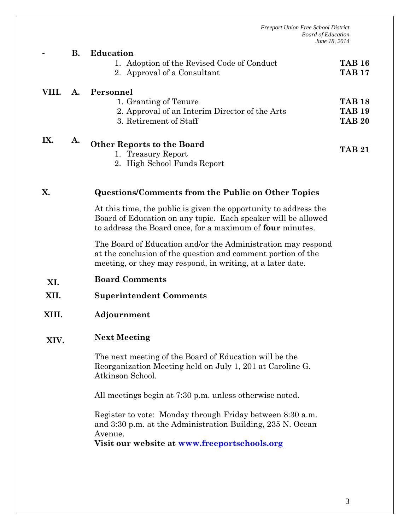|                                        |                       | poara oj Eaucanon<br>June 18, 2014                                                                                                                                                             |                                                 |  |  |  |
|----------------------------------------|-----------------------|------------------------------------------------------------------------------------------------------------------------------------------------------------------------------------------------|-------------------------------------------------|--|--|--|
|                                        | <b>B.</b>             | Education<br>1. Adoption of the Revised Code of Conduct<br>2. Approval of a Consultant                                                                                                         | <b>TAB 16</b><br><b>TAB 17</b>                  |  |  |  |
| VIII.                                  | A.                    | Personnel<br>1. Granting of Tenure<br>2. Approval of an Interim Director of the Arts<br>3. Retirement of Staff                                                                                 | <b>TAB 18</b><br><b>TAB 19</b><br><b>TAB 20</b> |  |  |  |
| IX.                                    | A.                    | <b>Other Reports to the Board</b><br>1. Treasury Report<br>2. High School Funds Report                                                                                                         | <b>TAB 21</b>                                   |  |  |  |
| X.                                     |                       | <b>Questions/Comments from the Public on Other Topics</b>                                                                                                                                      |                                                 |  |  |  |
|                                        |                       | At this time, the public is given the opportunity to address the<br>Board of Education on any topic. Each speaker will be allowed<br>to address the Board once, for a maximum of four minutes. |                                                 |  |  |  |
|                                        |                       | The Board of Education and/or the Administration may respond<br>at the conclusion of the question and comment portion of the<br>meeting, or they may respond, in writing, at a later date.     |                                                 |  |  |  |
| XI.                                    | <b>Board Comments</b> |                                                                                                                                                                                                |                                                 |  |  |  |
| XII.<br><b>Superintendent Comments</b> |                       |                                                                                                                                                                                                |                                                 |  |  |  |
| XIII.                                  | Adjournment           |                                                                                                                                                                                                |                                                 |  |  |  |
| XIV.                                   |                       | <b>Next Meeting</b>                                                                                                                                                                            |                                                 |  |  |  |
|                                        |                       | The next meeting of the Board of Education will be the<br>Reorganization Meeting held on July 1, 201 at Caroline G.                                                                            |                                                 |  |  |  |

All meetings begin at 7:30 p.m. unless otherwise noted.

Atkinson School.

Register to vote: Monday through Friday between 8:30 a.m. and 3:30 p.m. at the Administration Building, 235 N. Ocean Avenue.

**Visit our website at [www.freeportschools.org](http://www.freeportschools.org/)**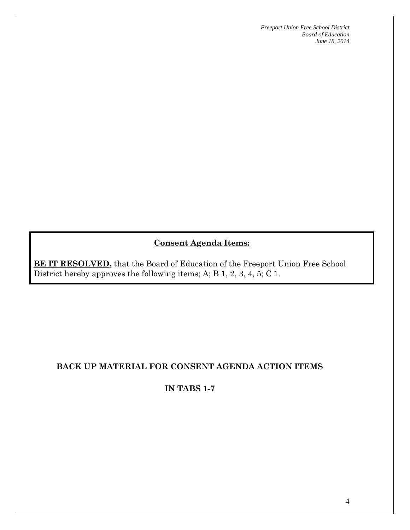# **Consent Agenda Items:**

**BE IT RESOLVED,** that the Board of Education of the Freeport Union Free School District hereby approves the following items; A; B 1, 2, 3, 4, 5; C 1.

## **BACK UP MATERIAL FOR CONSENT AGENDA ACTION ITEMS**

### **IN TABS 1-7**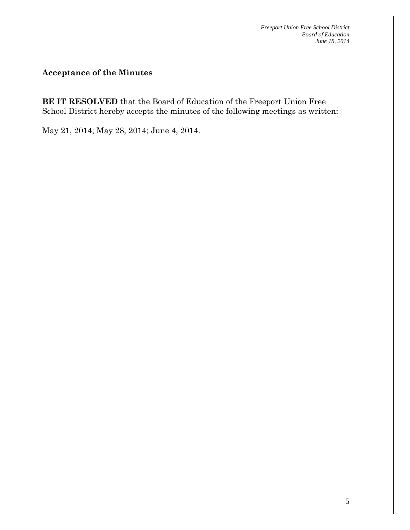**Acceptance of the Minutes**

**BE IT RESOLVED** that the Board of Education of the Freeport Union Free School District hereby accepts the minutes of the following meetings as written:

May 21, 2014; May 28, 2014; June 4, 2014.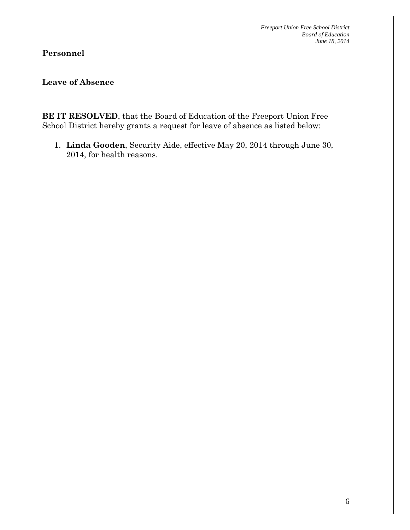# **Personnel**

# **Leave of Absence**

**BE IT RESOLVED**, that the Board of Education of the Freeport Union Free School District hereby grants a request for leave of absence as listed below:

1. **Linda Gooden**, Security Aide, effective May 20, 2014 through June 30, 2014, for health reasons.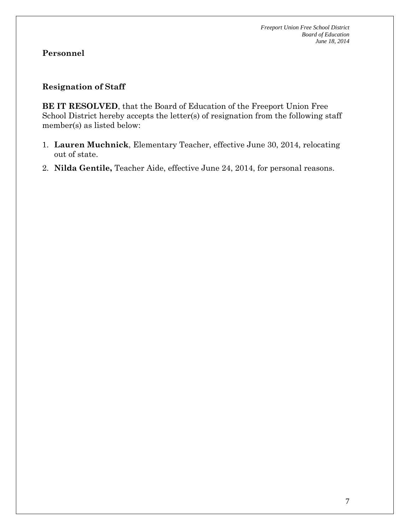#### **Resignation of Staff**

**BE IT RESOLVED**, that the Board of Education of the Freeport Union Free School District hereby accepts the letter(s) of resignation from the following staff member(s) as listed below:

- 1. **Lauren Muchnick**, Elementary Teacher, effective June 30, 2014, relocating out of state.
- 2. **Nilda Gentile,** Teacher Aide, effective June 24, 2014, for personal reasons.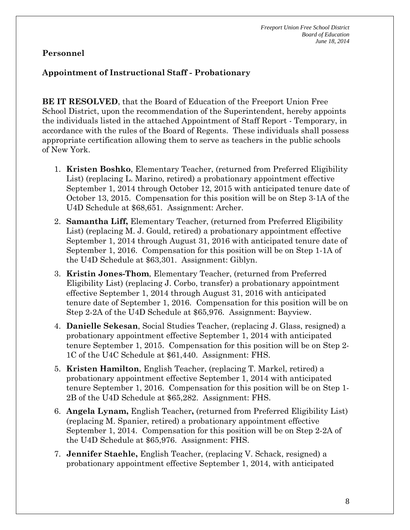### **Appointment of Instructional Staff - Probationary**

**BE IT RESOLVED**, that the Board of Education of the Freeport Union Free School District, upon the recommendation of the Superintendent, hereby appoints the individuals listed in the attached Appointment of Staff Report - Temporary, in accordance with the rules of the Board of Regents. These individuals shall possess appropriate certification allowing them to serve as teachers in the public schools of New York.

- 1. **Kristen Boshko**, Elementary Teacher, (returned from Preferred Eligibility List) (replacing L. Marino, retired) a probationary appointment effective September 1, 2014 through October 12, 2015 with anticipated tenure date of October 13, 2015. Compensation for this position will be on Step 3-1A of the U4D Schedule at \$68,651. Assignment: Archer.
- 2. **Samantha Liff,** Elementary Teacher, (returned from Preferred Eligibility List) (replacing M. J. Gould, retired) a probationary appointment effective September 1, 2014 through August 31, 2016 with anticipated tenure date of September 1, 2016. Compensation for this position will be on Step 1-1A of the U4D Schedule at \$63,301. Assignment: Giblyn.
- 3. **Kristin Jones-Thom**, Elementary Teacher, (returned from Preferred Eligibility List) (replacing J. Corbo, transfer) a probationary appointment effective September 1, 2014 through August 31, 2016 with anticipated tenure date of September 1, 2016. Compensation for this position will be on Step 2-2A of the U4D Schedule at \$65,976. Assignment: Bayview.
- 4. **Danielle Sekesan**, Social Studies Teacher, (replacing J. Glass, resigned) a probationary appointment effective September 1, 2014 with anticipated tenure September 1, 2015. Compensation for this position will be on Step 2- 1C of the U4C Schedule at \$61,440. Assignment: FHS.
- 5. **Kristen Hamilton**, English Teacher, (replacing T. Markel, retired) a probationary appointment effective September 1, 2014 with anticipated tenure September 1, 2016. Compensation for this position will be on Step 1- 2B of the U4D Schedule at \$65,282. Assignment: FHS.
- 6. **Angela Lynam,** English Teacher**,** (returned from Preferred Eligibility List) (replacing M. Spanier, retired) a probationary appointment effective September 1, 2014. Compensation for this position will be on Step 2-2A of the U4D Schedule at \$65,976. Assignment: FHS.
- 7. **Jennifer Staehle,** English Teacher, (replacing V. Schack, resigned) a probationary appointment effective September 1, 2014, with anticipated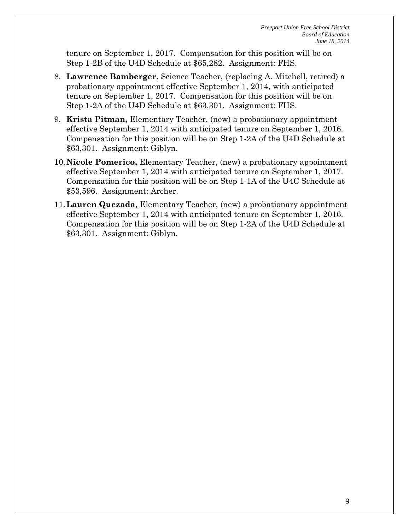tenure on September 1, 2017. Compensation for this position will be on Step 1-2B of the U4D Schedule at \$65,282. Assignment: FHS.

- 8. **Lawrence Bamberger,** Science Teacher, (replacing A. Mitchell, retired) a probationary appointment effective September 1, 2014, with anticipated tenure on September 1, 2017. Compensation for this position will be on Step 1-2A of the U4D Schedule at \$63,301. Assignment: FHS.
- 9. **Krista Pitman,** Elementary Teacher, (new) a probationary appointment effective September 1, 2014 with anticipated tenure on September 1, 2016. Compensation for this position will be on Step 1-2A of the U4D Schedule at \$63,301. Assignment: Giblyn.
- 10.**Nicole Pomerico,** Elementary Teacher, (new) a probationary appointment effective September 1, 2014 with anticipated tenure on September 1, 2017. Compensation for this position will be on Step 1-1A of the U4C Schedule at \$53,596. Assignment: Archer.
- 11.**Lauren Quezada**, Elementary Teacher, (new) a probationary appointment effective September 1, 2014 with anticipated tenure on September 1, 2016. Compensation for this position will be on Step 1-2A of the U4D Schedule at \$63,301. Assignment: Giblyn.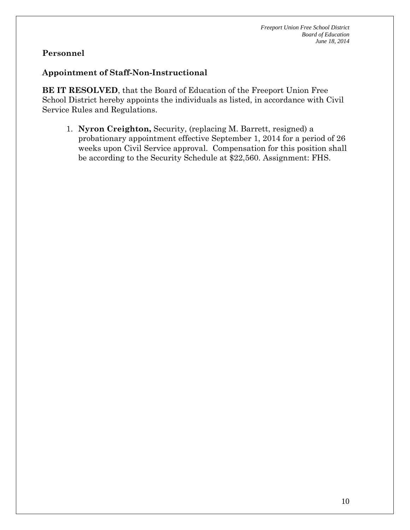#### **Appointment of Staff-Non-Instructional**

**BE IT RESOLVED**, that the Board of Education of the Freeport Union Free School District hereby appoints the individuals as listed, in accordance with Civil Service Rules and Regulations.

1. **Nyron Creighton,** Security, (replacing M. Barrett, resigned) a probationary appointment effective September 1, 2014 for a period of 26 weeks upon Civil Service approval. Compensation for this position shall be according to the Security Schedule at \$22,560. Assignment: FHS.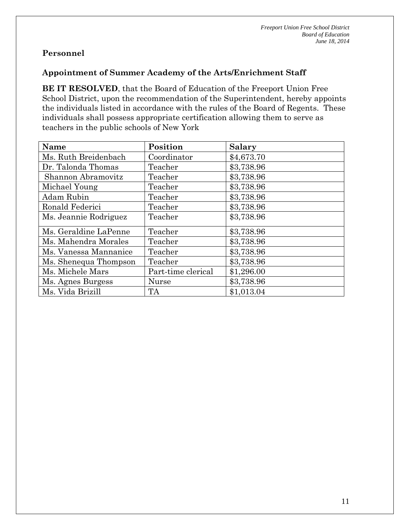#### **Appointment of Summer Academy of the Arts/Enrichment Staff**

**BE IT RESOLVED**, that the Board of Education of the Freeport Union Free School District, upon the recommendation of the Superintendent, hereby appoints the individuals listed in accordance with the rules of the Board of Regents. These individuals shall possess appropriate certification allowing them to serve as teachers in the public schools of New York

| Name                  | Position           | <b>Salary</b> |
|-----------------------|--------------------|---------------|
| Ms. Ruth Breidenbach  | Coordinator        | \$4,673.70    |
| Dr. Talonda Thomas    | Teacher            | \$3,738.96    |
| Shannon Abramovitz    | Teacher            | \$3,738.96    |
| Michael Young         | Teacher            | \$3,738.96    |
| Adam Rubin            | Teacher            | \$3,738.96    |
| Ronald Federici       | Teacher            | \$3,738.96    |
| Ms. Jeannie Rodriguez | Teacher            | \$3,738.96    |
| Ms. Geraldine LaPenne | Teacher            | \$3,738.96    |
| Ms. Mahendra Morales  | Teacher            | \$3,738.96    |
| Ms. Vanessa Mannanice | Teacher            | \$3,738.96    |
| Ms. Shenequa Thompson | Teacher            | \$3,738.96    |
| Ms. Michele Mars      | Part-time clerical | \$1,296.00    |
| Ms. Agnes Burgess     | <b>Nurse</b>       | \$3,738.96    |
| Ms. Vida Brizill      | <b>TA</b>          | \$1,013.04    |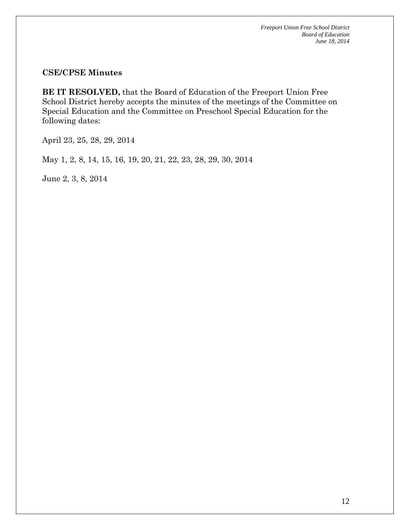#### **CSE/CPSE Minutes**

**BE IT RESOLVED,** that the Board of Education of the Freeport Union Free School District hereby accepts the minutes of the meetings of the Committee on Special Education and the Committee on Preschool Special Education for the following dates:

April 23, 25, 28, 29, 2014

May 1, 2, 8, 14, 15, 16, 19, 20, 21, 22, 23, 28, 29, 30, 2014

June 2, 3, 8, 2014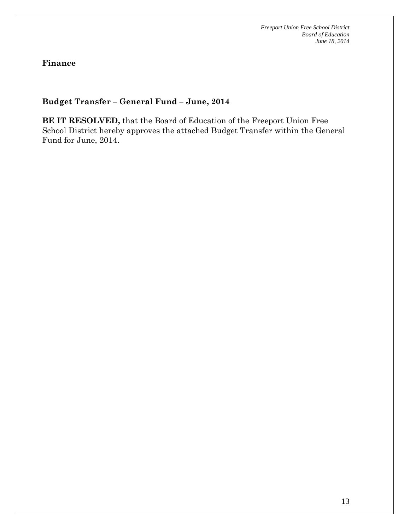**Finance**

### **Budget Transfer – General Fund – June, 2014**

**BE IT RESOLVED,** that the Board of Education of the Freeport Union Free School District hereby approves the attached Budget Transfer within the General Fund for June, 2014.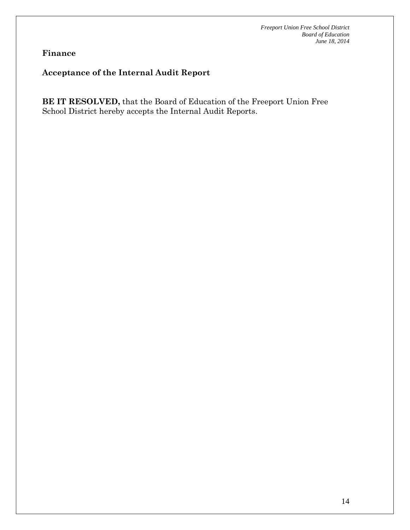**Finance**

#### **Acceptance of the Internal Audit Report**

**BE IT RESOLVED,** that the Board of Education of the Freeport Union Free School District hereby accepts the Internal Audit Reports.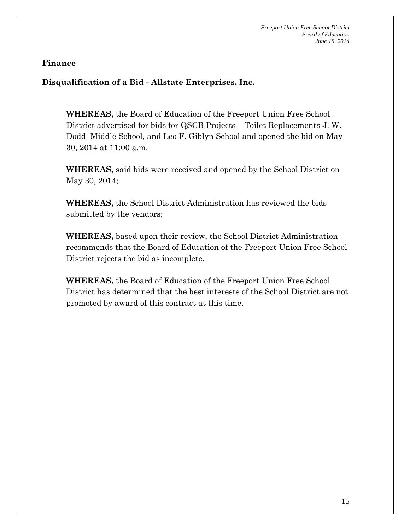#### **Finance**

**Disqualification of a Bid - Allstate Enterprises, Inc.**

**WHEREAS,** the Board of Education of the Freeport Union Free School District advertised for bids for QSCB Projects – Toilet Replacements J. W. Dodd Middle School, and Leo F. Giblyn School and opened the bid on May 30, 2014 at 11:00 a.m.

**WHEREAS,** said bids were received and opened by the School District on May 30, 2014;

**WHEREAS,** the School District Administration has reviewed the bids submitted by the vendors;

**WHEREAS,** based upon their review, the School District Administration recommends that the Board of Education of the Freeport Union Free School District rejects the bid as incomplete.

**WHEREAS,** the Board of Education of the Freeport Union Free School District has determined that the best interests of the School District are not promoted by award of this contract at this time.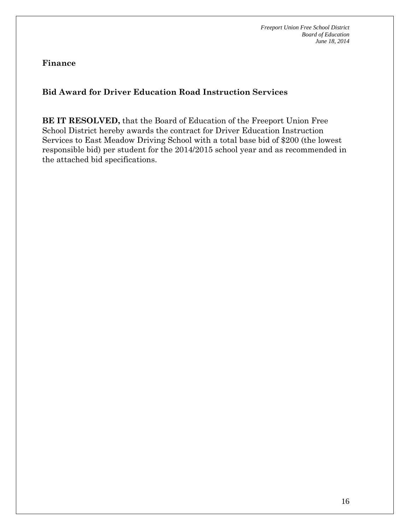**Finance**

# **Bid Award for Driver Education Road Instruction Services**

**BE IT RESOLVED,** that the Board of Education of the Freeport Union Free School District hereby awards the contract for Driver Education Instruction Services to East Meadow Driving School with a total base bid of \$200 (the lowest responsible bid) per student for the 2014/2015 school year and as recommended in the attached bid specifications.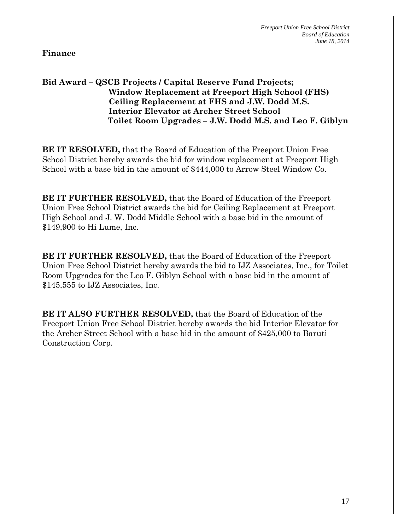**Finance**

#### **Bid Award – QSCB Projects / Capital Reserve Fund Projects; Window Replacement at Freeport High School (FHS) Ceiling Replacement at FHS and J.W. Dodd M.S. Interior Elevator at Archer Street School Toilet Room Upgrades – J.W. Dodd M.S. and Leo F. Giblyn**

**BE IT RESOLVED,** that the Board of Education of the Freeport Union Free School District hereby awards the bid for window replacement at Freeport High School with a base bid in the amount of \$444,000 to Arrow Steel Window Co.

**BE IT FURTHER RESOLVED,** that the Board of Education of the Freeport Union Free School District awards the bid for Ceiling Replacement at Freeport High School and J. W. Dodd Middle School with a base bid in the amount of \$149,900 to Hi Lume, Inc.

**BE IT FURTHER RESOLVED,** that the Board of Education of the Freeport Union Free School District hereby awards the bid to IJZ Associates, Inc., for Toilet Room Upgrades for the Leo F. Giblyn School with a base bid in the amount of \$145,555 to IJZ Associates, Inc.

**BE IT ALSO FURTHER RESOLVED,** that the Board of Education of the Freeport Union Free School District hereby awards the bid Interior Elevator for the Archer Street School with a base bid in the amount of \$425,000 to Baruti Construction Corp.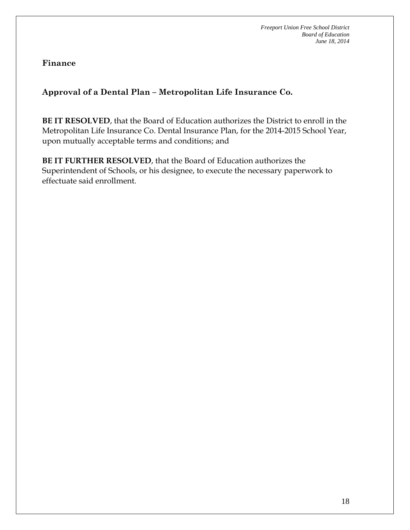**Finance**

**Approval of a Dental Plan – Metropolitan Life Insurance Co.**

**BE IT RESOLVED**, that the Board of Education authorizes the District to enroll in the Metropolitan Life Insurance Co. Dental Insurance Plan, for the 2014-2015 School Year, upon mutually acceptable terms and conditions; and

**BE IT FURTHER RESOLVED**, that the Board of Education authorizes the Superintendent of Schools, or his designee, to execute the necessary paperwork to effectuate said enrollment.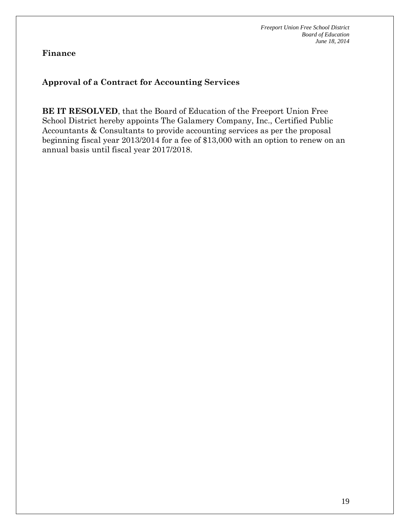#### **Finance**

### **Approval of a Contract for Accounting Services**

**BE IT RESOLVED**, that the Board of Education of the Freeport Union Free School District hereby appoints The Galamery Company, Inc., Certified Public Accountants & Consultants to provide accounting services as per the proposal beginning fiscal year 2013/2014 for a fee of \$13,000 with an option to renew on an annual basis until fiscal year 2017/2018.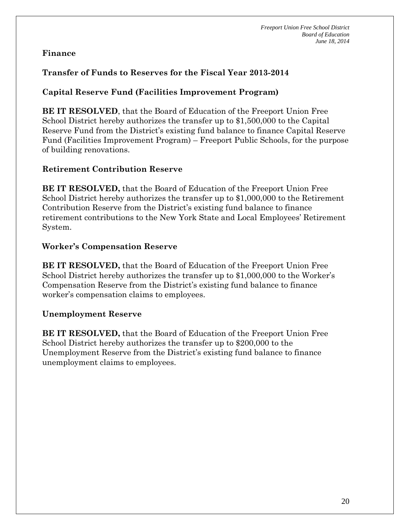### **Finance**

## **Transfer of Funds to Reserves for the Fiscal Year 2013-2014**

### **Capital Reserve Fund (Facilities Improvement Program)**

**BE IT RESOLVED**, that the Board of Education of the Freeport Union Free School District hereby authorizes the transfer up to \$1,500,000 to the Capital Reserve Fund from the District's existing fund balance to finance Capital Reserve Fund (Facilities Improvement Program) – Freeport Public Schools, for the purpose of building renovations.

#### **Retirement Contribution Reserve**

**BE IT RESOLVED,** that the Board of Education of the Freeport Union Free School District hereby authorizes the transfer up to \$1,000,000 to the Retirement Contribution Reserve from the District's existing fund balance to finance retirement contributions to the New York State and Local Employees' Retirement System.

#### **Worker's Compensation Reserve**

**BE IT RESOLVED,** that the Board of Education of the Freeport Union Free School District hereby authorizes the transfer up to \$1,000,000 to the Worker's Compensation Reserve from the District's existing fund balance to finance worker's compensation claims to employees.

## **Unemployment Reserve**

**BE IT RESOLVED,** that the Board of Education of the Freeport Union Free School District hereby authorizes the transfer up to \$200,000 to the Unemployment Reserve from the District's existing fund balance to finance unemployment claims to employees.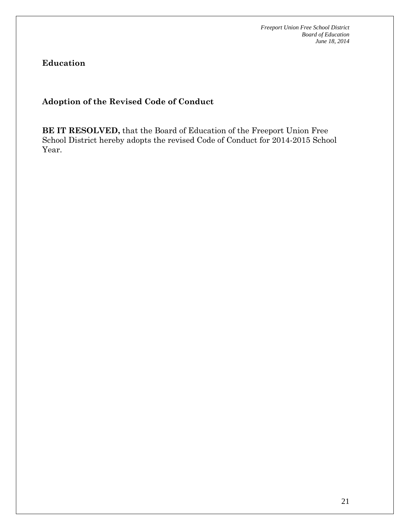**Education**

### **Adoption of the Revised Code of Conduct**

**BE IT RESOLVED,** that the Board of Education of the Freeport Union Free School District hereby adopts the revised Code of Conduct for 2014-2015 School Year.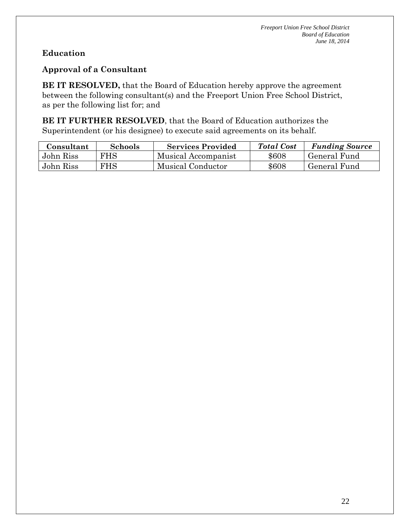# **Education**

#### **Approval of a Consultant**

**BE IT RESOLVED,** that the Board of Education hereby approve the agreement between the following consultant(s) and the Freeport Union Free School District, as per the following list for; and

**BE IT FURTHER RESOLVED**, that the Board of Education authorizes the Superintendent (or his designee) to execute said agreements on its behalf.

| Consultant | <b>Schools</b> | <b>Services Provided</b> | <b>Total Cost</b> | <b>Funding Source</b> |
|------------|----------------|--------------------------|-------------------|-----------------------|
| John Riss  | FHS.           | Musical Accompanist      | \$608             | General Fund          |
| John Riss  | FHS            | Musical Conductor        | \$608             | General Fund          |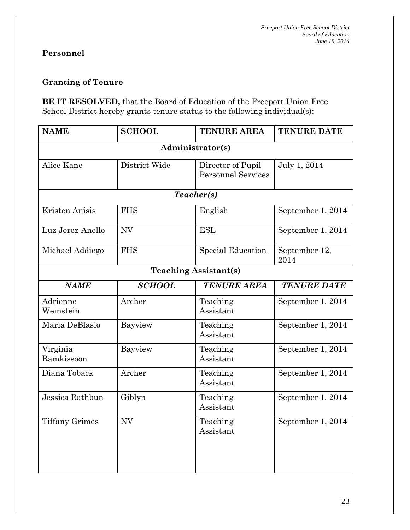#### **Granting of Tenure**

**BE IT RESOLVED,** that the Board of Education of the Freeport Union Free School District hereby grants tenure status to the following individual(s):

| <b>NAME</b>                  | <b>SCHOOL</b> | <b>TENURE AREA</b>                             | <b>TENURE DATE</b>    |  |  |  |
|------------------------------|---------------|------------------------------------------------|-----------------------|--|--|--|
| Administrator(s)             |               |                                                |                       |  |  |  |
| Alice Kane                   | District Wide | Director of Pupil<br><b>Personnel Services</b> | July 1, 2014          |  |  |  |
| Teacher(s)                   |               |                                                |                       |  |  |  |
| Kristen Anisis               | <b>FHS</b>    | English                                        | September 1, 2014     |  |  |  |
| Luz Jerez-Anello             | <b>NV</b>     | <b>ESL</b>                                     | September 1, 2014     |  |  |  |
| Michael Addiego              | <b>FHS</b>    | <b>Special Education</b>                       | September 12,<br>2014 |  |  |  |
| <b>Teaching Assistant(s)</b> |               |                                                |                       |  |  |  |
| <b>NAME</b>                  | <b>SCHOOL</b> | <b>TENURE AREA</b>                             | <b>TENURE DATE</b>    |  |  |  |
| Adrienne<br>Weinstein        | Archer        | Teaching<br>Assistant                          | September 1, 2014     |  |  |  |
| Maria DeBlasio               | Bayview       | Teaching<br>Assistant                          | September 1, 2014     |  |  |  |
| Virginia<br>Ramkissoon       | Bayview       | Teaching<br>Assistant                          | September 1, 2014     |  |  |  |
| Diana Toback                 | Archer        | Teaching<br>Assistant                          | September 1, 2014     |  |  |  |
| Jessica Rathbun              | Giblyn        | Teaching<br>Assistant                          | September 1, 2014     |  |  |  |
| <b>Tiffany Grimes</b>        | <b>NV</b>     | Teaching<br>Assistant                          | September 1, 2014     |  |  |  |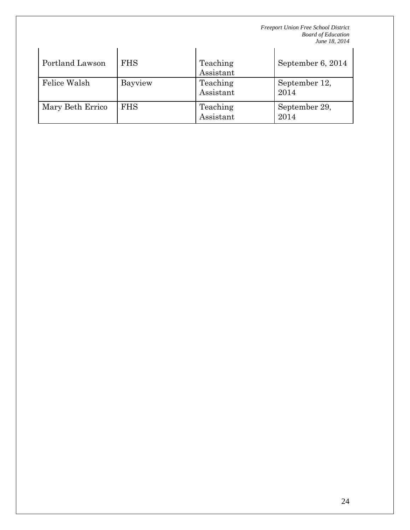| Portland Lawson  | <b>FHS</b> | Teaching<br>Assistant | September 6, 2014     |
|------------------|------------|-----------------------|-----------------------|
| Felice Walsh     | Bayview    | Teaching<br>Assistant | September 12,<br>2014 |
| Mary Beth Errico | <b>FHS</b> | Teaching<br>Assistant | September 29,<br>2014 |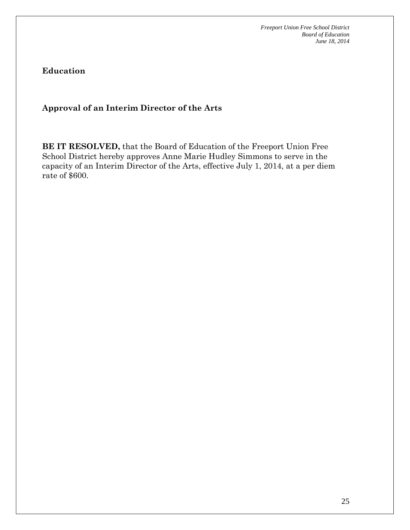**Education**

**Approval of an Interim Director of the Arts**

**BE IT RESOLVED,** that the Board of Education of the Freeport Union Free School District hereby approves Anne Marie Hudley Simmons to serve in the capacity of an Interim Director of the Arts, effective July 1, 2014, at a per diem rate of \$600.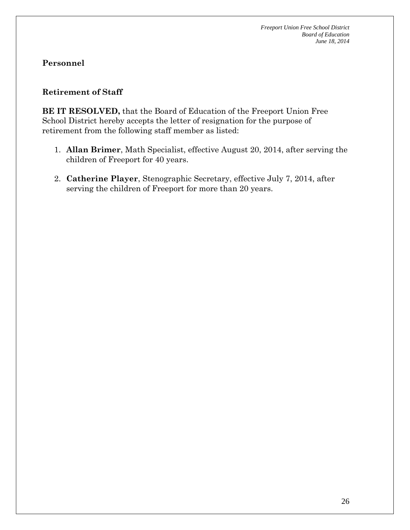#### **Retirement of Staff**

**BE IT RESOLVED,** that the Board of Education of the Freeport Union Free School District hereby accepts the letter of resignation for the purpose of retirement from the following staff member as listed:

- 1. **Allan Brimer**, Math Specialist, effective August 20, 2014, after serving the children of Freeport for 40 years.
- 2. **Catherine Player**, Stenographic Secretary, effective July 7, 2014, after serving the children of Freeport for more than 20 years.